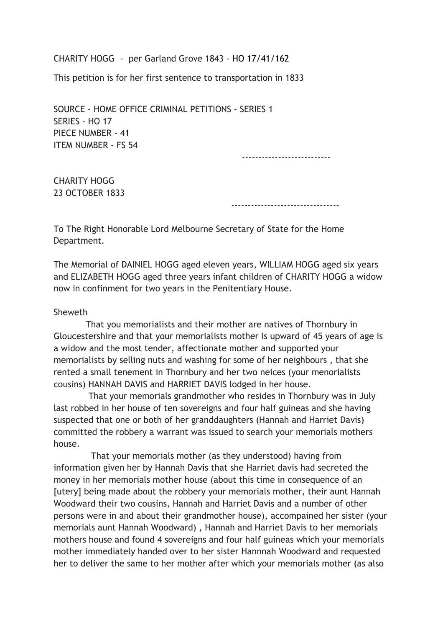CHARITY HOGG - per Garland Grove 1843 - HO 17/41/162

This petition is for her first sentence to transportation in 1833

SOURCE - HOME OFFICE CRIMINAL PETITIONS - SERIES 1 SERIES - HO 17 PIECE NUMBER - 41 ITEM NUMBER - FS 54

---------------------------

CHARITY HOGG 23 OCTOBER 1833

---------------------------------

To The Right Honorable Lord Melbourne Secretary of State for the Home Department.

The Memorial of DAINIEL HOGG aged eleven years, WILLIAM HOGG aged six years and ELIZABETH HOGG aged three years infant children of CHARITY HOGG a widow now in confinment for two years in the Penitentiary House.

## Sheweth

 That you memorialists and their mother are natives of Thornbury in Gloucestershire and that your memorialists mother is upward of 45 years of age is a widow and the most tender, affectionate mother and supported your memorialists by selling nuts and washing for some of her neighbours , that she rented a small tenement in Thornbury and her two neices (your menorialists cousins) HANNAH DAVIS and HARRIET DAVIS lodged in her house.

 That your memorials grandmother who resides in Thornbury was in July last robbed in her house of ten sovereigns and four half guineas and she having suspected that one or both of her granddaughters (Hannah and Harriet Davis) committed the robbery a warrant was issued to search your memorials mothers house.

 That your memorials mother (as they understood) having from information given her by Hannah Davis that she Harriet davis had secreted the money in her memorials mother house (about this time in consequence of an [utery] being made about the robbery your memorials mother, their aunt Hannah Woodward their two cousins, Hannah and Harriet Davis and a number of other persons were in and about their grandmother house), accompained her sister (your memorials aunt Hannah Woodward) , Hannah and Harriet Davis to her memorials mothers house and found 4 sovereigns and four half guineas which your memorials mother immediately handed over to her sister Hannnah Woodward and requested her to deliver the same to her mother after which your memorials mother (as also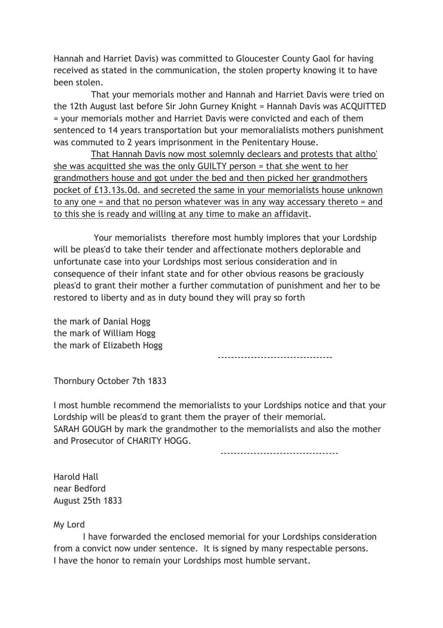Hannah and Harriet Davis) was committed to Gloucester County Gaol for having received as stated in the communication, the stolen property knowing it to have been stolen.

 That your memorials mother and Hannah and Harriet Davis were tried on the 12th August last before Sir John Gurney Knight = Hannah Davis was ACQUITTED = your memorials mother and Harriet Davis were convicted and each of them sentenced to 14 years transportation but your memoralialists mothers punishment was commuted to 2 years imprisonment in the Penitentary House.

 That Hannah Davis now most solemnly declears and protests that altho' she was acquitted she was the only GUILTY person = that she went to her grandmothers house and got under the bed and then picked her grandmothers pocket of £13.13s.0d. and secreted the same in your memorialists house unknown to any one = and that no person whatever was in any way accessary thereto = and to this she is ready and willing at any time to make an affidavit.

 Your memorialists therefore most humbly implores that your Lordship will be pleas'd to take their tender and affectionate mothers deplorable and unfortunate case into your Lordships most serious consideration and in consequence of their infant state and for other obvious reasons be graciously pleas'd to grant their mother a further commutation of punishment and her to be restored to liberty and as in duty bound they will pray so forth

the mark of Danial Hogg the mark of William Hogg the mark of Elizabeth Hogg

-----------------------------------

Thornbury October 7th 1833

I most humble recommend the memorialists to your Lordships notice and that your Lordship will be pleas'd to grant them the prayer of their memorial. SARAH GOUGH by mark the grandmother to the memorialists and also the mother and Prosecutor of CHARITY HOGG.

------------------------------------

Harold Hall near Bedford August 25th 1833

My Lord

 I have forwarded the enclosed memorial for your Lordships consideration from a convict now under sentence. It is signed by many respectable persons. I have the honor to remain your Lordships most humble servant.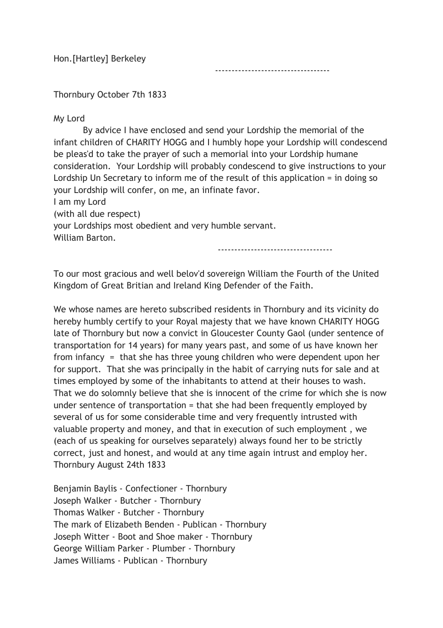Hon.[Hartley] Berkeley

-----------------------------------

Thornbury October 7th 1833

My Lord

 By advice I have enclosed and send your Lordship the memorial of the infant children of CHARITY HOGG and I humbly hope your Lordship will condescend be pleas'd to take the prayer of such a memorial into your Lordship humane consideration. Your Lordship will probably condescend to give instructions to your Lordship Un Secretary to inform me of the result of this application = in doing so your Lordship will confer, on me, an infinate favor. I am my Lord

(with all due respect)

your Lordships most obedient and very humble servant. William Barton.

-----------------------------------

To our most gracious and well belov'd sovereign William the Fourth of the United Kingdom of Great Britian and Ireland King Defender of the Faith.

We whose names are hereto subscribed residents in Thornbury and its vicinity do hereby humbly certify to your Royal majesty that we have known CHARITY HOGG late of Thornbury but now a convict in Gloucester County Gaol (under sentence of transportation for 14 years) for many years past, and some of us have known her from infancy = that she has three young children who were dependent upon her for support. That she was principally in the habit of carrying nuts for sale and at times employed by some of the inhabitants to attend at their houses to wash. That we do solomnly believe that she is innocent of the crime for which she is now under sentence of transportation = that she had been frequently employed by several of us for some considerable time and very frequently intrusted with valuable property and money, and that in execution of such employment , we (each of us speaking for ourselves separately) always found her to be strictly correct, just and honest, and would at any time again intrust and employ her. Thornbury August 24th 1833

Benjamin Baylis - Confectioner - Thornbury Joseph Walker - Butcher - Thornbury Thomas Walker - Butcher - Thornbury The mark of Elizabeth Benden - Publican - Thornbury Joseph Witter - Boot and Shoe maker - Thornbury George William Parker - Plumber - Thornbury James Williams - Publican - Thornbury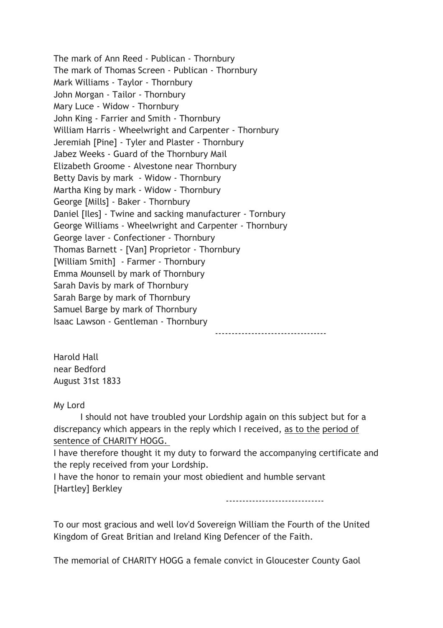The mark of Ann Reed - Publican - Thornbury The mark of Thomas Screen - Publican - Thornbury Mark Williams - Taylor - Thornbury John Morgan - Tailor - Thornbury Mary Luce - Widow - Thornbury John King - Farrier and Smith - Thornbury William Harris - Wheelwright and Carpenter - Thornbury Jeremiah [Pine] - Tyler and Plaster - Thornbury Jabez Weeks - Guard of the Thornbury Mail Elizabeth Groome - Alvestone near Thornbury Betty Davis by mark - Widow - Thornbury Martha King by mark - Widow - Thornbury George [Mills] - Baker - Thornbury Daniel [Iles] - Twine and sacking manufacturer - Tornbury George Williams - Wheelwright and Carpenter - Thornbury George laver - Confectioner - Thornbury Thomas Barnett - [Van] Proprietor - Thornbury [William Smith] - Farmer - Thornbury Emma Mounsell by mark of Thornbury Sarah Davis by mark of Thornbury Sarah Barge by mark of Thornbury Samuel Barge by mark of Thornbury Isaac Lawson - Gentleman - Thornbury

----------------------------------

Harold Hall near Bedford August 31st 1833

My Lord

 I should not have troubled your Lordship again on this subject but for a discrepancy which appears in the reply which I received, as to the period of sentence of CHARITY HOGG.

I have therefore thought it my duty to forward the accompanying certificate and the reply received from your Lordship.

I have the honor to remain your most obiedient and humble servant [Hartley] Berkley

------------------------------

To our most gracious and well lov'd Sovereign William the Fourth of the United Kingdom of Great Britian and Ireland King Defencer of the Faith.

The memorial of CHARITY HOGG a female convict in Gloucester County Gaol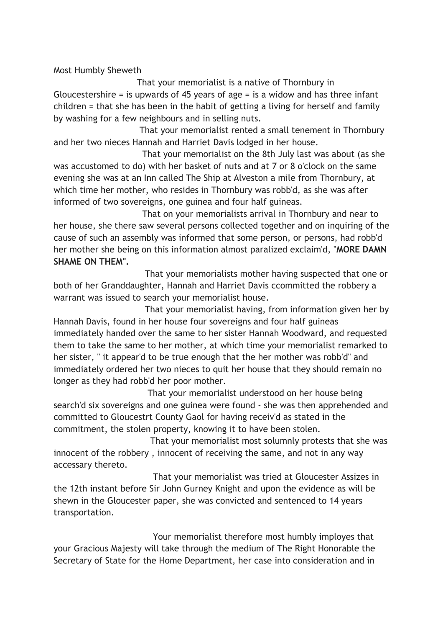Most Humbly Sheweth

 That your memorialist is a native of Thornbury in Gloucestershire = is upwards of 45 years of age = is a widow and has three infant children = that she has been in the habit of getting a living for herself and family by washing for a few neighbours and in selling nuts.

 That your memorialist rented a small tenement in Thornbury and her two nieces Hannah and Harriet Davis lodged in her house.

 That your memorialist on the 8th July last was about (as she was accustomed to do) with her basket of nuts and at 7 or 8 o'clock on the same evening she was at an Inn called The Ship at Alveston a mile from Thornbury, at which time her mother, who resides in Thornbury was robb'd, as she was after informed of two sovereigns, one guinea and four half guineas.

 That on your memorialists arrival in Thornbury and near to her house, she there saw several persons collected together and on inquiring of the cause of such an assembly was informed that some person, or persons, had robb'd her mother she being on this information almost paralized exclaim'd, "MORE DAMN SHAME ON THEM".

 That your memorialists mother having suspected that one or both of her Granddaughter, Hannah and Harriet Davis ccommitted the robbery a warrant was issued to search your memorialist house.

 That your memorialist having, from information given her by Hannah Davis, found in her house four sovereigns and four half guineas immediately handed over the same to her sister Hannah Woodward, and requested them to take the same to her mother, at which time your memorialist remarked to her sister, " it appear'd to be true enough that the her mother was robb'd" and immediately ordered her two nieces to quit her house that they should remain no longer as they had robb'd her poor mother.

 That your memorialist understood on her house being search'd six sovereigns and one guinea were found - she was then apprehended and committed to Gloucestrt County Gaol for having receiv'd as stated in the commitment, the stolen property, knowing it to have been stolen.

 That your memorialist most solumnly protests that she was innocent of the robbery , innocent of receiving the same, and not in any way accessary thereto.

 That your memorialist was tried at Gloucester Assizes in the 12th instant before Sir John Gurney Knight and upon the evidence as will be shewn in the Gloucester paper, she was convicted and sentenced to 14 years transportation.

 Your memorialist therefore most humbly imployes that your Gracious Majesty will take through the medium of The Right Honorable the Secretary of State for the Home Department, her case into consideration and in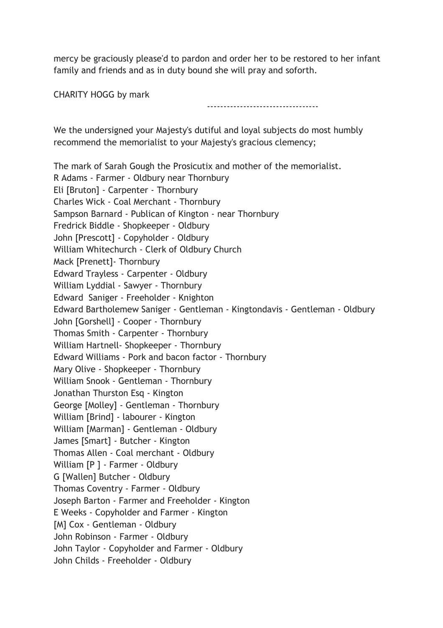mercy be graciously please'd to pardon and order her to be restored to her infant family and friends and as in duty bound she will pray and soforth.

CHARITY HOGG by mark

----------------------------------

We the undersigned your Majesty's dutiful and loyal subjects do most humbly recommend the memorialist to your Majesty's gracious clemency;

The mark of Sarah Gough the Prosicutix and mother of the memorialist. R Adams - Farmer - Oldbury near Thornbury Eli [Bruton] - Carpenter - Thornbury Charles Wick - Coal Merchant - Thornbury Sampson Barnard - Publican of Kington - near Thornbury Fredrick Biddle - Shopkeeper - Oldbury John [Prescott] - Copyholder - Oldbury William Whitechurch - Clerk of Oldbury Church Mack [Prenett]- Thornbury Edward Trayless - Carpenter - Oldbury William Lyddial - Sawyer - Thornbury Edward Saniger - Freeholder - Knighton Edward Bartholemew Saniger - Gentleman - Kingtondavis - Gentleman - Oldbury John [Gorshell] - Cooper - Thornbury Thomas Smith - Carpenter - Thornbury William Hartnell- Shopkeeper - Thornbury Edward Williams - Pork and bacon factor - Thornbury Mary Olive - Shopkeeper - Thornbury William Snook - Gentleman - Thornbury Jonathan Thurston Esq - Kington George [Molley] - Gentleman - Thornbury William [Brind] - labourer - Kington William [Marman] - Gentleman - Oldbury James [Smart] - Butcher - Kington Thomas Allen - Coal merchant - Oldbury William [P ] - Farmer - Oldbury G [Wallen] Butcher - Oldbury Thomas Coventry - Farmer - Oldbury Joseph Barton - Farmer and Freeholder - Kington E Weeks - Copyholder and Farmer - Kington [M] Cox - Gentleman - Oldbury John Robinson - Farmer - Oldbury John Taylor - Copyholder and Farmer - Oldbury John Childs - Freeholder - Oldbury